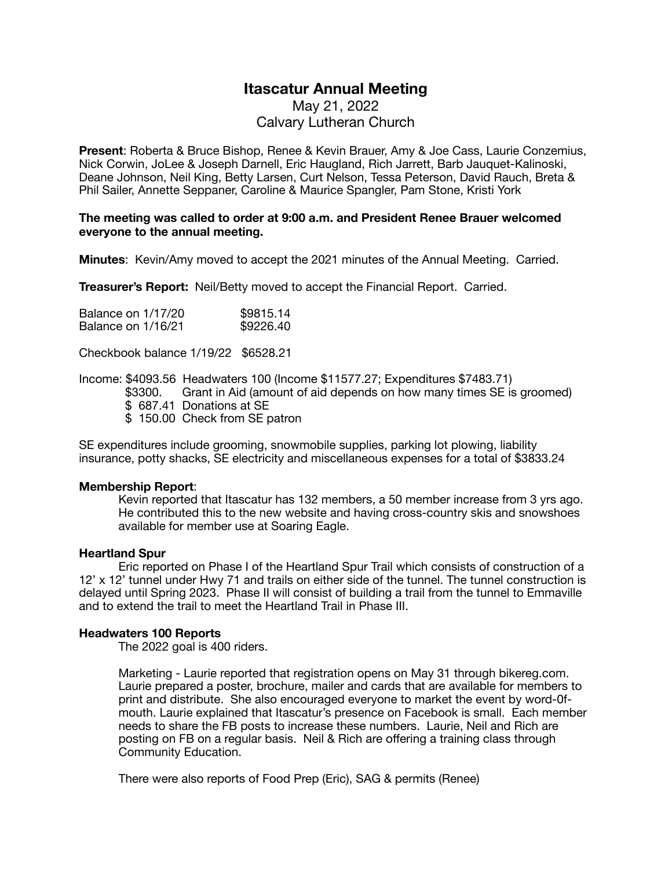# **Itascatur Annual Meeting**

May 21, 2022 Calvary Lutheran Church

**Present**: Roberta & Bruce Bishop, Renee & Kevin Brauer, Amy & Joe Cass, Laurie Conzemius, Nick Corwin, JoLee & Joseph Darnell, Eric Haugland, Rich Jarrett, Barb Jauquet-Kalinoski, Deane Johnson, Neil King, Betty Larsen, Curt Nelson, Tessa Peterson, David Rauch, Breta & Phil Sailer, Annette Seppaner, Caroline & Maurice Spangler, Pam Stone, Kristi York

#### **The meeting was called to order at 9:00 a.m. and President Renee Brauer welcomed everyone to the annual meeting.**

**Minutes**: Kevin/Amy moved to accept the 2021 minutes of the Annual Meeting. Carried.

**Treasurer's Report:** Neil/Betty moved to accept the Financial Report. Carried.

| Balance on 1/17/20 | \$9815.14 |
|--------------------|-----------|
| Balance on 1/16/21 | \$9226.40 |

Checkbook balance 1/19/22 \$6528.21

Income: \$4093.56 Headwaters 100 (Income \$11577.27; Expenditures \$7483.71)

- \$3300. Grant in Aid (amount of aid depends on how many times SE is groomed)
	- \$ 687.41 Donations at SE
	- \$150.00 Check from SE patron

SE expenditures include grooming, snowmobile supplies, parking lot plowing, liability insurance, potty shacks, SE electricity and miscellaneous expenses for a total of \$3833.24

## **Membership Report**:

Kevin reported that Itascatur has 132 members, a 50 member increase from 3 yrs ago. He contributed this to the new website and having cross-country skis and snowshoes available for member use at Soaring Eagle.

## **Heartland Spur**

Eric reported on Phase I of the Heartland Spur Trail which consists of construction of a 12' x 12' tunnel under Hwy 71 and trails on either side of the tunnel. The tunnel construction is delayed until Spring 2023. Phase II will consist of building a trail from the tunnel to Emmaville and to extend the trail to meet the Heartland Trail in Phase III.

## **Headwaters 100 Reports**

The 2022 goal is 400 riders.

Marketing - Laurie reported that registration opens on May 31 through bikereg.com. Laurie prepared a poster, brochure, mailer and cards that are available for members to print and distribute. She also encouraged everyone to market the event by word-0f mouth. Laurie explained that Itascatur's presence on Facebook is small. Each member needs to share the FB posts to increase these numbers. Laurie, Neil and Rich are posting on FB on a regular basis. Neil & Rich are offering a training class through Community Education.

There were also reports of Food Prep (Eric), SAG & permits (Renee)